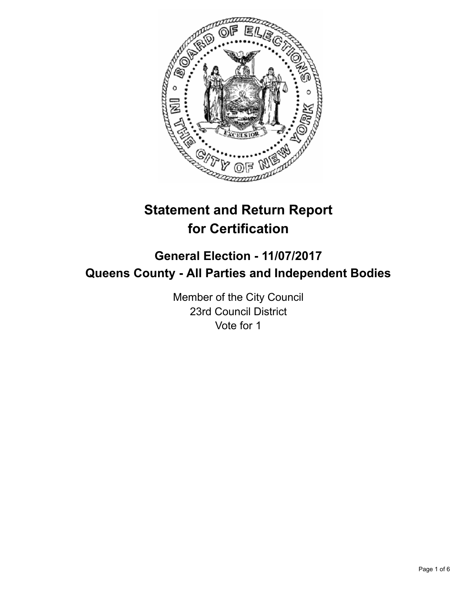

# **Statement and Return Report for Certification**

## **General Election - 11/07/2017 Queens County - All Parties and Independent Bodies**

Member of the City Council 23rd Council District Vote for 1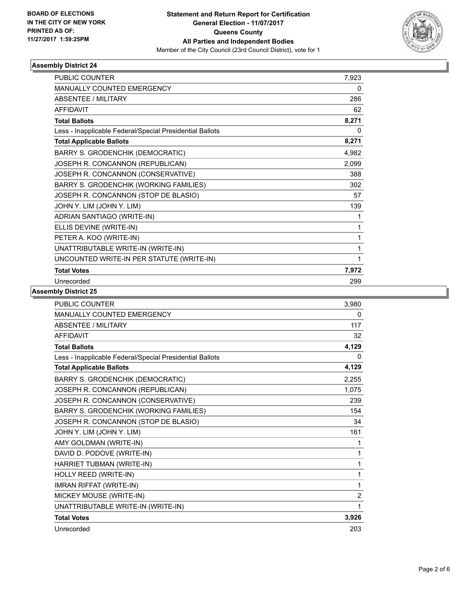

### **Assembly District 24**

| <b>PUBLIC COUNTER</b>                                    | 7,923 |
|----------------------------------------------------------|-------|
| <b>MANUALLY COUNTED EMERGENCY</b>                        | 0     |
| <b>ABSENTEE / MILITARY</b>                               | 286   |
| <b>AFFIDAVIT</b>                                         | 62    |
| <b>Total Ballots</b>                                     | 8,271 |
| Less - Inapplicable Federal/Special Presidential Ballots | 0     |
| <b>Total Applicable Ballots</b>                          | 8,271 |
| <b>BARRY S. GRODENCHIK (DEMOCRATIC)</b>                  | 4,982 |
| JOSEPH R. CONCANNON (REPUBLICAN)                         | 2,099 |
| JOSEPH R. CONCANNON (CONSERVATIVE)                       | 388   |
| BARRY S. GRODENCHIK (WORKING FAMILIES)                   | 302   |
| JOSEPH R. CONCANNON (STOP DE BLASIO)                     | 57    |
| JOHN Y. LIM (JOHN Y. LIM)                                | 139   |
| ADRIAN SANTIAGO (WRITE-IN)                               | 1     |
| ELLIS DEVINE (WRITE-IN)                                  | 1     |
| PETER A. KOO (WRITE-IN)                                  | 1     |
| UNATTRIBUTABLE WRITE-IN (WRITE-IN)                       | 1     |
| UNCOUNTED WRITE-IN PER STATUTE (WRITE-IN)                | 1     |
| <b>Total Votes</b>                                       | 7,972 |
| Unrecorded                                               | 299   |

### **Assembly District 25**

| <b>PUBLIC COUNTER</b>                                    | 3,980          |
|----------------------------------------------------------|----------------|
| <b>MANUALLY COUNTED EMERGENCY</b>                        | 0              |
| <b>ABSENTEE / MILITARY</b>                               | 117            |
| <b>AFFIDAVIT</b>                                         | 32             |
| <b>Total Ballots</b>                                     | 4,129          |
| Less - Inapplicable Federal/Special Presidential Ballots | 0              |
| <b>Total Applicable Ballots</b>                          | 4,129          |
| <b>BARRY S. GRODENCHIK (DEMOCRATIC)</b>                  | 2,255          |
| JOSEPH R. CONCANNON (REPUBLICAN)                         | 1,075          |
| JOSEPH R. CONCANNON (CONSERVATIVE)                       | 239            |
| BARRY S. GRODENCHIK (WORKING FAMILIES)                   | 154            |
| JOSEPH R. CONCANNON (STOP DE BLASIO)                     | 34             |
| JOHN Y. LIM (JOHN Y. LIM)                                | 161            |
| AMY GOLDMAN (WRITE-IN)                                   | 1              |
| DAVID D. PODOVE (WRITE-IN)                               | 1              |
| HARRIET TUBMAN (WRITE-IN)                                | 1              |
| HOLLY REED (WRITE-IN)                                    | 1              |
| <b>IMRAN RIFFAT (WRITE-IN)</b>                           | 1              |
| MICKEY MOUSE (WRITE-IN)                                  | $\overline{2}$ |
| UNATTRIBUTABLE WRITE-IN (WRITE-IN)                       | 1              |
| <b>Total Votes</b>                                       | 3,926          |
| Unrecorded                                               | 203            |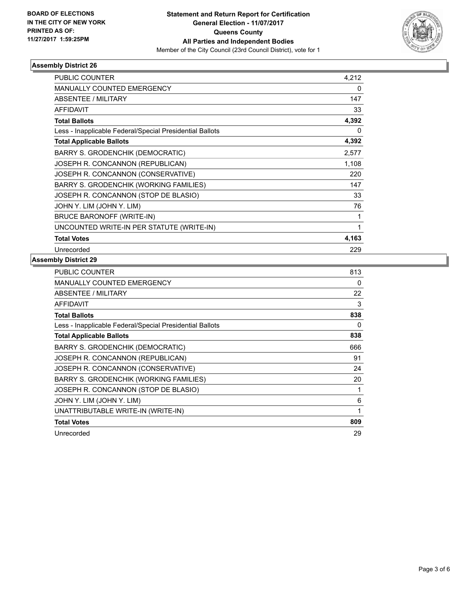

### **Assembly District 26**

| <b>PUBLIC COUNTER</b>                                    | 4,212 |
|----------------------------------------------------------|-------|
| <b>MANUALLY COUNTED EMERGENCY</b>                        | 0     |
| ABSENTEE / MILITARY                                      | 147   |
| <b>AFFIDAVIT</b>                                         | 33    |
| <b>Total Ballots</b>                                     | 4,392 |
| Less - Inapplicable Federal/Special Presidential Ballots | 0     |
| <b>Total Applicable Ballots</b>                          | 4,392 |
| BARRY S. GRODENCHIK (DEMOCRATIC)                         | 2,577 |
| JOSEPH R. CONCANNON (REPUBLICAN)                         | 1,108 |
| JOSEPH R. CONCANNON (CONSERVATIVE)                       | 220   |
| BARRY S. GRODENCHIK (WORKING FAMILIES)                   | 147   |
| JOSEPH R. CONCANNON (STOP DE BLASIO)                     | 33    |
| JOHN Y. LIM (JOHN Y. LIM)                                | 76    |
| <b>BRUCE BARONOFF (WRITE-IN)</b>                         | 1     |
| UNCOUNTED WRITE-IN PER STATUTE (WRITE-IN)                | 1     |
| <b>Total Votes</b>                                       | 4,163 |
| Unrecorded                                               | 229   |

### **Assembly District 29**

| <b>PUBLIC COUNTER</b>                                    | 813 |
|----------------------------------------------------------|-----|
| <b>MANUALLY COUNTED EMERGENCY</b>                        | 0   |
| <b>ABSENTEE / MILITARY</b>                               | 22  |
| <b>AFFIDAVIT</b>                                         | 3   |
| <b>Total Ballots</b>                                     | 838 |
| Less - Inapplicable Federal/Special Presidential Ballots | 0   |
| <b>Total Applicable Ballots</b>                          | 838 |
| <b>BARRY S. GRODENCHIK (DEMOCRATIC)</b>                  | 666 |
| JOSEPH R. CONCANNON (REPUBLICAN)                         | 91  |
| JOSEPH R. CONCANNON (CONSERVATIVE)                       | 24  |
| <b>BARRY S. GRODENCHIK (WORKING FAMILIES)</b>            | 20  |
| JOSEPH R. CONCANNON (STOP DE BLASIO)                     | 1   |
| JOHN Y. LIM (JOHN Y. LIM)                                | 6   |
| UNATTRIBUTABLE WRITE-IN (WRITE-IN)                       | 1   |
| <b>Total Votes</b>                                       | 809 |
| Unrecorded                                               | 29  |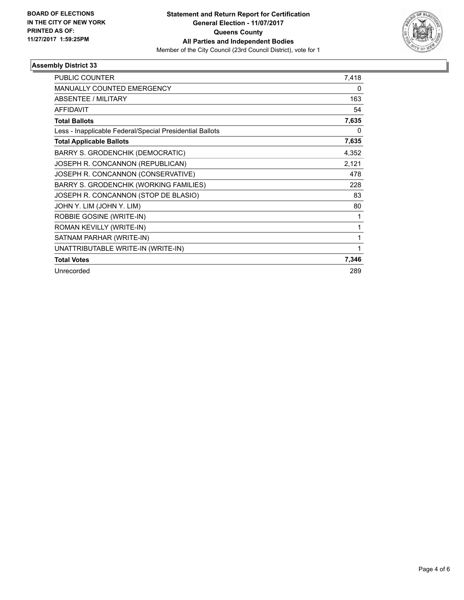

### **Assembly District 33**

| <b>PUBLIC COUNTER</b>                                    | 7,418 |
|----------------------------------------------------------|-------|
| <b>MANUALLY COUNTED EMERGENCY</b>                        | 0     |
| ABSENTEE / MILITARY                                      | 163   |
| <b>AFFIDAVIT</b>                                         | 54    |
| <b>Total Ballots</b>                                     | 7,635 |
| Less - Inapplicable Federal/Special Presidential Ballots | 0     |
| <b>Total Applicable Ballots</b>                          | 7,635 |
| <b>BARRY S. GRODENCHIK (DEMOCRATIC)</b>                  | 4,352 |
| JOSEPH R. CONCANNON (REPUBLICAN)                         | 2,121 |
| JOSEPH R. CONCANNON (CONSERVATIVE)                       | 478   |
| BARRY S. GRODENCHIK (WORKING FAMILIES)                   | 228   |
| JOSEPH R. CONCANNON (STOP DE BLASIO)                     | 83    |
| JOHN Y. LIM (JOHN Y. LIM)                                | 80    |
| ROBBIE GOSINE (WRITE-IN)                                 |       |
| ROMAN KEVILLY (WRITE-IN)                                 | 1     |
| SATNAM PARHAR (WRITE-IN)                                 | 1     |
| UNATTRIBUTABLE WRITE-IN (WRITE-IN)                       | 1     |
| <b>Total Votes</b>                                       | 7,346 |
| Unrecorded                                               | 289   |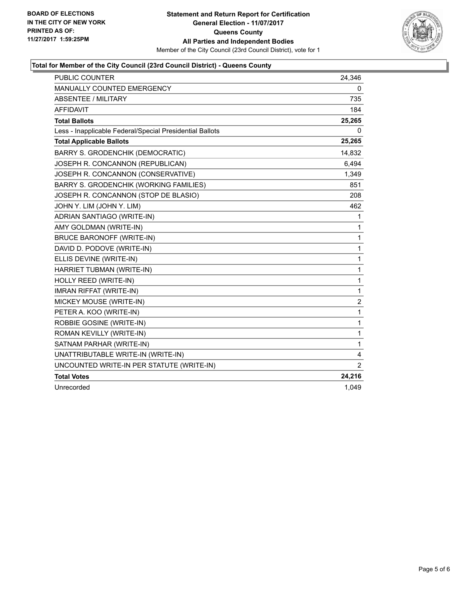

### **Total for Member of the City Council (23rd Council District) - Queens County**

| <b>PUBLIC COUNTER</b>                                    | 24,346           |
|----------------------------------------------------------|------------------|
| <b>MANUALLY COUNTED EMERGENCY</b>                        | 0                |
| <b>ABSENTEE / MILITARY</b>                               | 735              |
| <b>AFFIDAVIT</b>                                         | 184              |
| <b>Total Ballots</b>                                     | 25,265           |
| Less - Inapplicable Federal/Special Presidential Ballots | 0                |
| <b>Total Applicable Ballots</b>                          | 25,265           |
| <b>BARRY S. GRODENCHIK (DEMOCRATIC)</b>                  | 14,832           |
| JOSEPH R. CONCANNON (REPUBLICAN)                         | 6.494            |
| JOSEPH R. CONCANNON (CONSERVATIVE)                       | 1,349            |
| BARRY S. GRODENCHIK (WORKING FAMILIES)                   | 851              |
| JOSEPH R. CONCANNON (STOP DE BLASIO)                     | 208              |
| JOHN Y. LIM (JOHN Y. LIM)                                | 462              |
| ADRIAN SANTIAGO (WRITE-IN)                               | 1                |
| AMY GOLDMAN (WRITE-IN)                                   | 1                |
| BRUCE BARONOFF (WRITE-IN)                                | 1                |
| DAVID D. PODOVE (WRITE-IN)                               | 1                |
| ELLIS DEVINE (WRITE-IN)                                  | 1                |
| HARRIET TUBMAN (WRITE-IN)                                | 1                |
| HOLLY REED (WRITE-IN)                                    | 1                |
| <b>IMRAN RIFFAT (WRITE-IN)</b>                           | 1                |
| MICKEY MOUSE (WRITE-IN)                                  | $\boldsymbol{2}$ |
| PETER A. KOO (WRITE-IN)                                  | 1                |
| ROBBIE GOSINE (WRITE-IN)                                 | 1                |
| ROMAN KEVILLY (WRITE-IN)                                 | 1                |
| SATNAM PARHAR (WRITE-IN)                                 | 1                |
| UNATTRIBUTABLE WRITE-IN (WRITE-IN)                       | 4                |
| UNCOUNTED WRITE-IN PER STATUTE (WRITE-IN)                | 2                |
| <b>Total Votes</b>                                       | 24,216           |
| Unrecorded                                               | 1,049            |